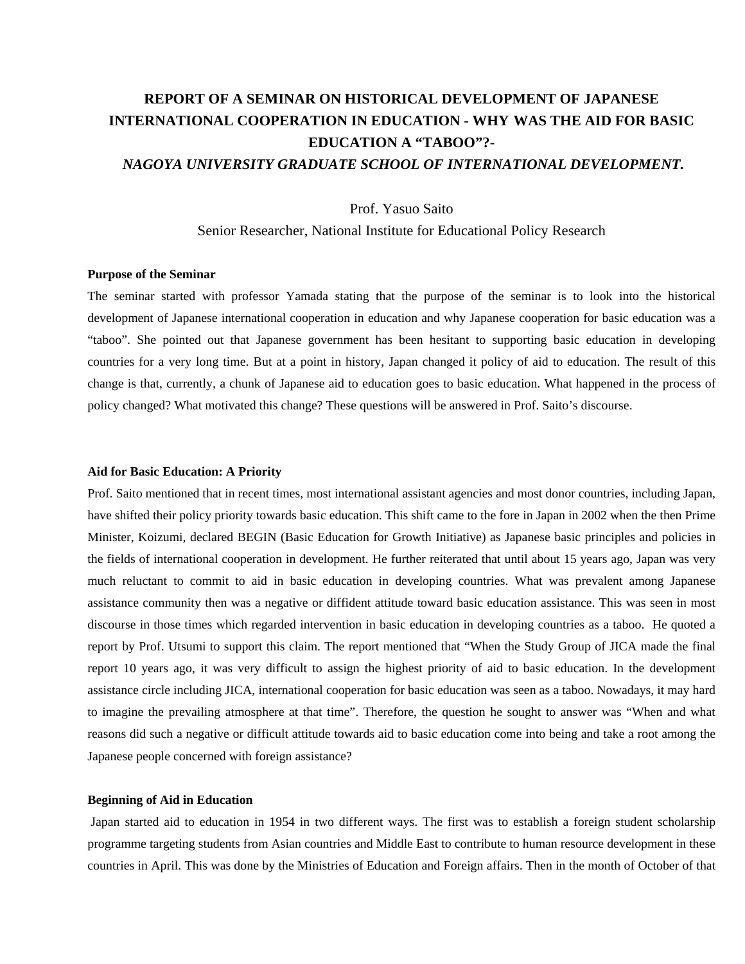# **REPORT OF A SEMINAR ON HISTORICAL DEVELOPMENT OF JAPANESE INTERNATIONAL COOPERATION IN EDUCATION - WHY WAS THE AID FOR BASIC EDUCATION A "TABOO"?**-  *NAGOYA UNIVERSITY GRADUATE SCHOOL OF INTERNATIONAL DEVELOPMENT.*

Prof. Yasuo Saito

Senior Researcher, National Institute for Educational Policy Research

## **Purpose of the Seminar**

The seminar started with professor Yamada stating that the purpose of the seminar is to look into the historical development of Japanese international cooperation in education and why Japanese cooperation for basic education was a "taboo". She pointed out that Japanese government has been hesitant to supporting basic education in developing countries for a very long time. But at a point in history, Japan changed it policy of aid to education. The result of this change is that, currently, a chunk of Japanese aid to education goes to basic education. What happened in the process of policy changed? What motivated this change? These questions will be answered in Prof. Saito's discourse.

#### **Aid for Basic Education: A Priority**

Prof. Saito mentioned that in recent times, most international assistant agencies and most donor countries, including Japan, have shifted their policy priority towards basic education. This shift came to the fore in Japan in 2002 when the then Prime Minister, Koizumi, declared BEGIN (Basic Education for Growth Initiative) as Japanese basic principles and policies in the fields of international cooperation in development. He further reiterated that until about 15 years ago, Japan was very much reluctant to commit to aid in basic education in developing countries. What was prevalent among Japanese assistance community then was a negative or diffident attitude toward basic education assistance. This was seen in most discourse in those times which regarded intervention in basic education in developing countries as a taboo. He quoted a report by Prof. Utsumi to support this claim. The report mentioned that "When the Study Group of JICA made the final report 10 years ago, it was very difficult to assign the highest priority of aid to basic education. In the development assistance circle including JICA, international cooperation for basic education was seen as a taboo. Nowadays, it may hard to imagine the prevailing atmosphere at that time". Therefore, the question he sought to answer was "When and what reasons did such a negative or difficult attitude towards aid to basic education come into being and take a root among the Japanese people concerned with foreign assistance?

#### **Beginning of Aid in Education**

 Japan started aid to education in 1954 in two different ways. The first was to establish a foreign student scholarship programme targeting students from Asian countries and Middle East to contribute to human resource development in these countries in April. This was done by the Ministries of Education and Foreign affairs. Then in the month of October of that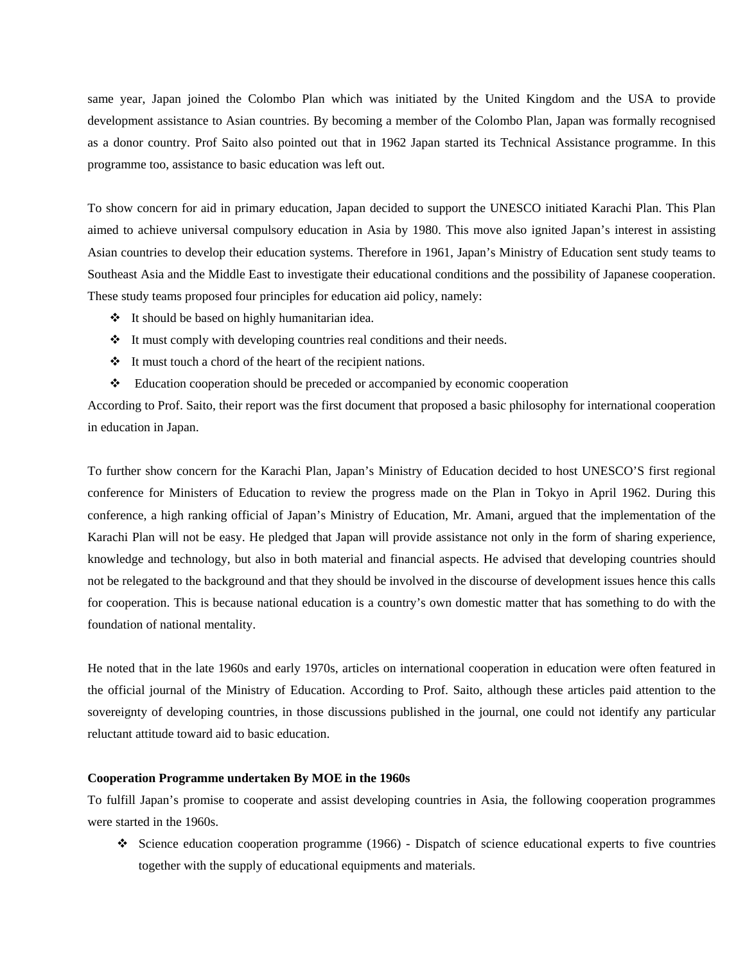same year, Japan joined the Colombo Plan which was initiated by the United Kingdom and the USA to provide development assistance to Asian countries. By becoming a member of the Colombo Plan, Japan was formally recognised as a donor country. Prof Saito also pointed out that in 1962 Japan started its Technical Assistance programme. In this programme too, assistance to basic education was left out.

To show concern for aid in primary education, Japan decided to support the UNESCO initiated Karachi Plan. This Plan aimed to achieve universal compulsory education in Asia by 1980. This move also ignited Japan's interest in assisting Asian countries to develop their education systems. Therefore in 1961, Japan's Ministry of Education sent study teams to Southeast Asia and the Middle East to investigate their educational conditions and the possibility of Japanese cooperation. These study teams proposed four principles for education aid policy, namely:

- $\cdot \cdot$  It should be based on highly humanitarian idea.
- It must comply with developing countries real conditions and their needs.
- It must touch a chord of the heart of the recipient nations.
- Education cooperation should be preceded or accompanied by economic cooperation

According to Prof. Saito, their report was the first document that proposed a basic philosophy for international cooperation in education in Japan.

To further show concern for the Karachi Plan, Japan's Ministry of Education decided to host UNESCO'S first regional conference for Ministers of Education to review the progress made on the Plan in Tokyo in April 1962. During this conference, a high ranking official of Japan's Ministry of Education, Mr. Amani, argued that the implementation of the Karachi Plan will not be easy. He pledged that Japan will provide assistance not only in the form of sharing experience, knowledge and technology, but also in both material and financial aspects. He advised that developing countries should not be relegated to the background and that they should be involved in the discourse of development issues hence this calls for cooperation. This is because national education is a country's own domestic matter that has something to do with the foundation of national mentality.

He noted that in the late 1960s and early 1970s, articles on international cooperation in education were often featured in the official journal of the Ministry of Education. According to Prof. Saito, although these articles paid attention to the sovereignty of developing countries, in those discussions published in the journal, one could not identify any particular reluctant attitude toward aid to basic education.

## **Cooperation Programme undertaken By MOE in the 1960s**

To fulfill Japan's promise to cooperate and assist developing countries in Asia, the following cooperation programmes were started in the 1960s.

Science education cooperation programme (1966) - Dispatch of science educational experts to five countries together with the supply of educational equipments and materials.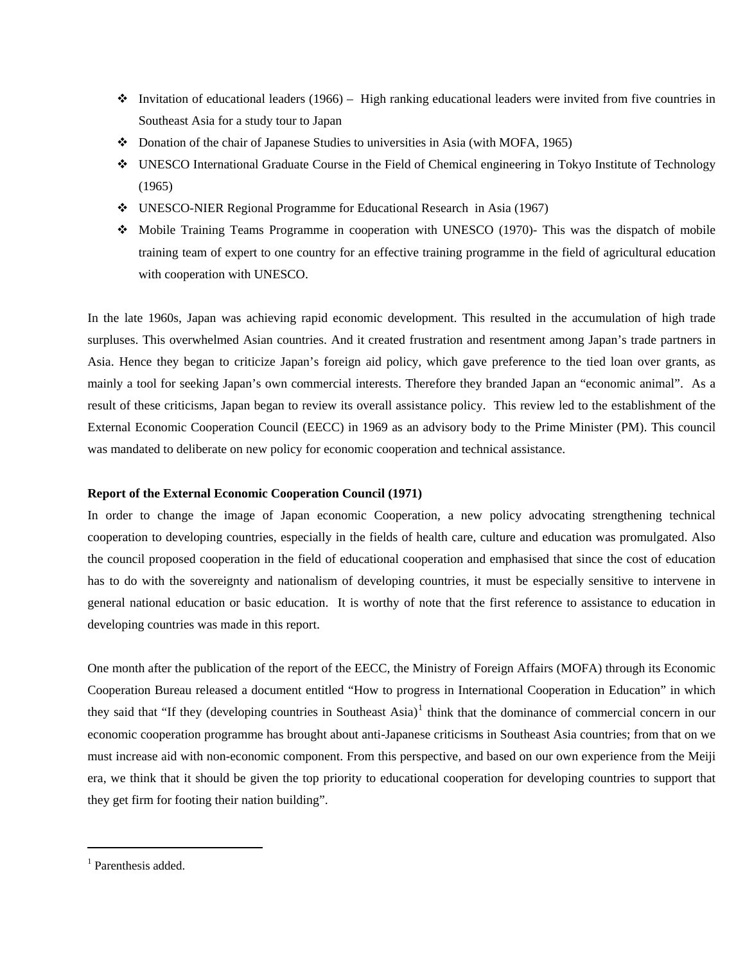- Invitation of educational leaders (1966) High ranking educational leaders were invited from five countries in Southeast Asia for a study tour to Japan
- Donation of the chair of Japanese Studies to universities in Asia (with MOFA, 1965)
- UNESCO International Graduate Course in the Field of Chemical engineering in Tokyo Institute of Technology (1965)
- UNESCO-NIER Regional Programme for Educational Research in Asia (1967)
- Mobile Training Teams Programme in cooperation with UNESCO (1970)- This was the dispatch of mobile training team of expert to one country for an effective training programme in the field of agricultural education with cooperation with UNESCO.

In the late 1960s, Japan was achieving rapid economic development. This resulted in the accumulation of high trade surpluses. This overwhelmed Asian countries. And it created frustration and resentment among Japan's trade partners in Asia. Hence they began to criticize Japan's foreign aid policy, which gave preference to the tied loan over grants, as mainly a tool for seeking Japan's own commercial interests. Therefore they branded Japan an "economic animal". As a result of these criticisms, Japan began to review its overall assistance policy. This review led to the establishment of the External Economic Cooperation Council (EECC) in 1969 as an advisory body to the Prime Minister (PM). This council was mandated to deliberate on new policy for economic cooperation and technical assistance.

# **Report of the External Economic Cooperation Council (1971)**

In order to change the image of Japan economic Cooperation, a new policy advocating strengthening technical cooperation to developing countries, especially in the fields of health care, culture and education was promulgated. Also the council proposed cooperation in the field of educational cooperation and emphasised that since the cost of education has to do with the sovereignty and nationalism of developing countries, it must be especially sensitive to intervene in general national education or basic education. It is worthy of note that the first reference to assistance to education in developing countries was made in this report.

One month after the publication of the report of the EECC, the Ministry of Foreign Affairs (MOFA) through its Economic Cooperation Bureau released a document entitled "How to progress in International Cooperation in Education" in which they said that "If they (developing countries in Southeast Asia) $<sup>1</sup>$  $<sup>1</sup>$  $<sup>1</sup>$  think that the dominance of commercial concern in our</sup> economic cooperation programme has brought about anti-Japanese criticisms in Southeast Asia countries; from that on we must increase aid with non-economic component. From this perspective, and based on our own experience from the Meiji era, we think that it should be given the top priority to educational cooperation for developing countries to support that they get firm for footing their nation building".

 $\overline{a}$ 

<span id="page-2-0"></span><sup>&</sup>lt;sup>1</sup> Parenthesis added.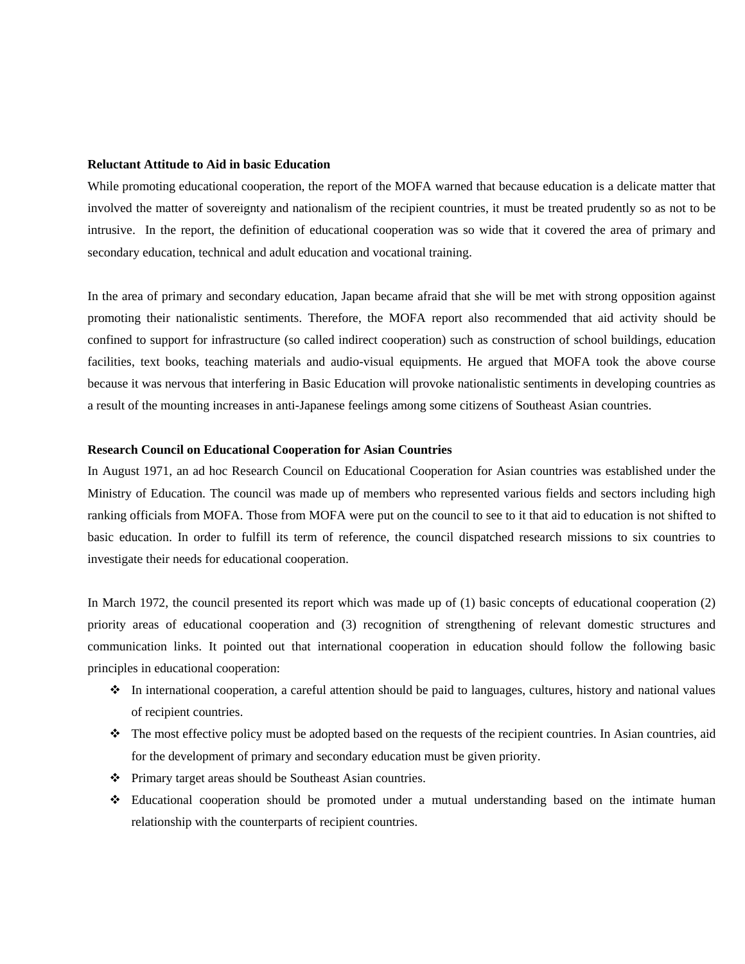## **Reluctant Attitude to Aid in basic Education**

While promoting educational cooperation, the report of the MOFA warned that because education is a delicate matter that involved the matter of sovereignty and nationalism of the recipient countries, it must be treated prudently so as not to be intrusive. In the report, the definition of educational cooperation was so wide that it covered the area of primary and secondary education, technical and adult education and vocational training.

In the area of primary and secondary education, Japan became afraid that she will be met with strong opposition against promoting their nationalistic sentiments. Therefore, the MOFA report also recommended that aid activity should be confined to support for infrastructure (so called indirect cooperation) such as construction of school buildings, education facilities, text books, teaching materials and audio-visual equipments. He argued that MOFA took the above course because it was nervous that interfering in Basic Education will provoke nationalistic sentiments in developing countries as a result of the mounting increases in anti-Japanese feelings among some citizens of Southeast Asian countries.

## **Research Council on Educational Cooperation for Asian Countries**

In August 1971, an ad hoc Research Council on Educational Cooperation for Asian countries was established under the Ministry of Education. The council was made up of members who represented various fields and sectors including high ranking officials from MOFA. Those from MOFA were put on the council to see to it that aid to education is not shifted to basic education. In order to fulfill its term of reference, the council dispatched research missions to six countries to investigate their needs for educational cooperation.

In March 1972, the council presented its report which was made up of (1) basic concepts of educational cooperation (2) priority areas of educational cooperation and (3) recognition of strengthening of relevant domestic structures and communication links. It pointed out that international cooperation in education should follow the following basic principles in educational cooperation:

- $\bullet$  In international cooperation, a careful attention should be paid to languages, cultures, history and national values of recipient countries.
- The most effective policy must be adopted based on the requests of the recipient countries. In Asian countries, aid for the development of primary and secondary education must be given priority.
- Primary target areas should be Southeast Asian countries.
- Educational cooperation should be promoted under a mutual understanding based on the intimate human relationship with the counterparts of recipient countries.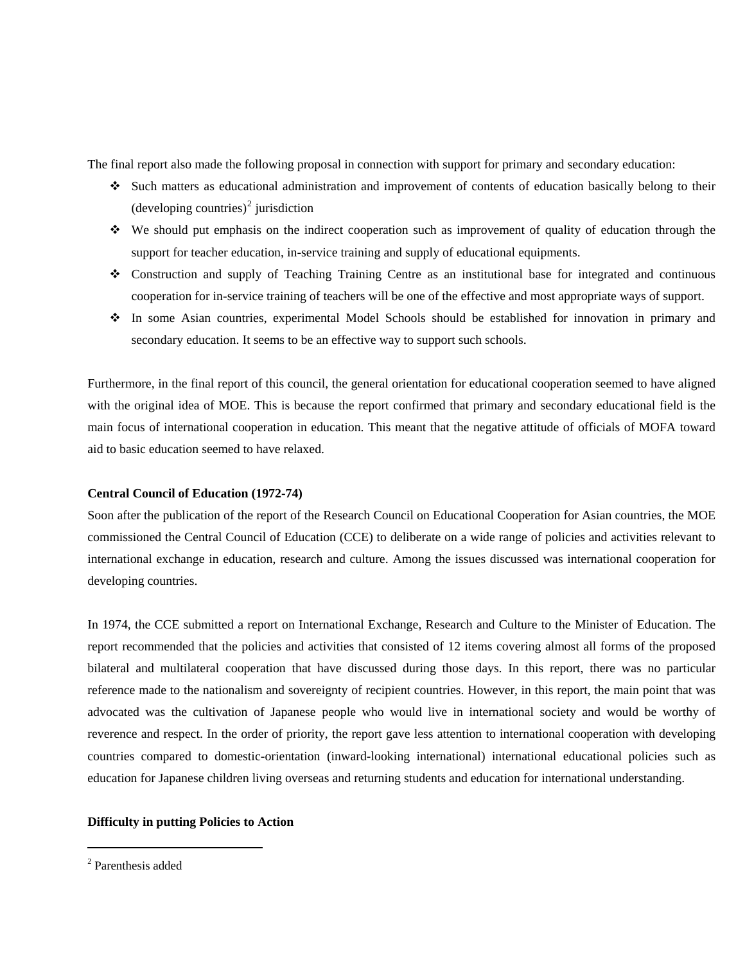The final report also made the following proposal in connection with support for primary and secondary education:

- Such matters as educational administration and improvement of contents of education basically belong to their  $(developing$  countries)<sup>[2](#page-4-0)</sup> jurisdiction
- We should put emphasis on the indirect cooperation such as improvement of quality of education through the support for teacher education, in-service training and supply of educational equipments.
- Construction and supply of Teaching Training Centre as an institutional base for integrated and continuous cooperation for in-service training of teachers will be one of the effective and most appropriate ways of support.
- In some Asian countries, experimental Model Schools should be established for innovation in primary and secondary education. It seems to be an effective way to support such schools.

Furthermore, in the final report of this council, the general orientation for educational cooperation seemed to have aligned with the original idea of MOE. This is because the report confirmed that primary and secondary educational field is the main focus of international cooperation in education. This meant that the negative attitude of officials of MOFA toward aid to basic education seemed to have relaxed.

# **Central Council of Education (1972-74)**

Soon after the publication of the report of the Research Council on Educational Cooperation for Asian countries, the MOE commissioned the Central Council of Education (CCE) to deliberate on a wide range of policies and activities relevant to international exchange in education, research and culture. Among the issues discussed was international cooperation for developing countries.

In 1974, the CCE submitted a report on International Exchange, Research and Culture to the Minister of Education. The report recommended that the policies and activities that consisted of 12 items covering almost all forms of the proposed bilateral and multilateral cooperation that have discussed during those days. In this report, there was no particular reference made to the nationalism and sovereignty of recipient countries. However, in this report, the main point that was advocated was the cultivation of Japanese people who would live in international society and would be worthy of reverence and respect. In the order of priority, the report gave less attention to international cooperation with developing countries compared to domestic-orientation (inward-looking international) international educational policies such as education for Japanese children living overseas and returning students and education for international understanding.

# **Difficulty in putting Policies to Action**

 $\overline{a}$ 

<span id="page-4-0"></span><sup>2</sup> Parenthesis added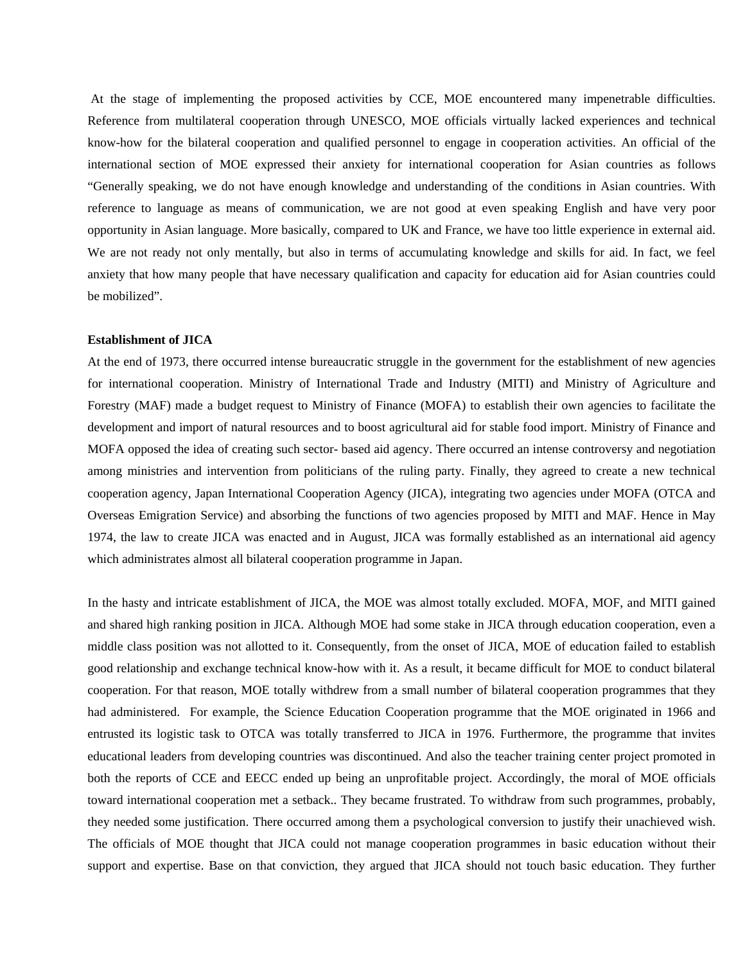At the stage of implementing the proposed activities by CCE, MOE encountered many impenetrable difficulties. Reference from multilateral cooperation through UNESCO, MOE officials virtually lacked experiences and technical know-how for the bilateral cooperation and qualified personnel to engage in cooperation activities. An official of the international section of MOE expressed their anxiety for international cooperation for Asian countries as follows "Generally speaking, we do not have enough knowledge and understanding of the conditions in Asian countries. With reference to language as means of communication, we are not good at even speaking English and have very poor opportunity in Asian language. More basically, compared to UK and France, we have too little experience in external aid. We are not ready not only mentally, but also in terms of accumulating knowledge and skills for aid. In fact, we feel anxiety that how many people that have necessary qualification and capacity for education aid for Asian countries could be mobilized".

## **Establishment of JICA**

At the end of 1973, there occurred intense bureaucratic struggle in the government for the establishment of new agencies for international cooperation. Ministry of International Trade and Industry (MITI) and Ministry of Agriculture and Forestry (MAF) made a budget request to Ministry of Finance (MOFA) to establish their own agencies to facilitate the development and import of natural resources and to boost agricultural aid for stable food import. Ministry of Finance and MOFA opposed the idea of creating such sector- based aid agency. There occurred an intense controversy and negotiation among ministries and intervention from politicians of the ruling party. Finally, they agreed to create a new technical cooperation agency, Japan International Cooperation Agency (JICA), integrating two agencies under MOFA (OTCA and Overseas Emigration Service) and absorbing the functions of two agencies proposed by MITI and MAF. Hence in May 1974, the law to create JICA was enacted and in August, JICA was formally established as an international aid agency which administrates almost all bilateral cooperation programme in Japan.

In the hasty and intricate establishment of JICA, the MOE was almost totally excluded. MOFA, MOF, and MITI gained and shared high ranking position in JICA. Although MOE had some stake in JICA through education cooperation, even a middle class position was not allotted to it. Consequently, from the onset of JICA, MOE of education failed to establish good relationship and exchange technical know-how with it. As a result, it became difficult for MOE to conduct bilateral cooperation. For that reason, MOE totally withdrew from a small number of bilateral cooperation programmes that they had administered. For example, the Science Education Cooperation programme that the MOE originated in 1966 and entrusted its logistic task to OTCA was totally transferred to JICA in 1976. Furthermore, the programme that invites educational leaders from developing countries was discontinued. And also the teacher training center project promoted in both the reports of CCE and EECC ended up being an unprofitable project. Accordingly, the moral of MOE officials toward international cooperation met a setback.. They became frustrated. To withdraw from such programmes, probably, they needed some justification. There occurred among them a psychological conversion to justify their unachieved wish. The officials of MOE thought that JICA could not manage cooperation programmes in basic education without their support and expertise. Base on that conviction, they argued that JICA should not touch basic education. They further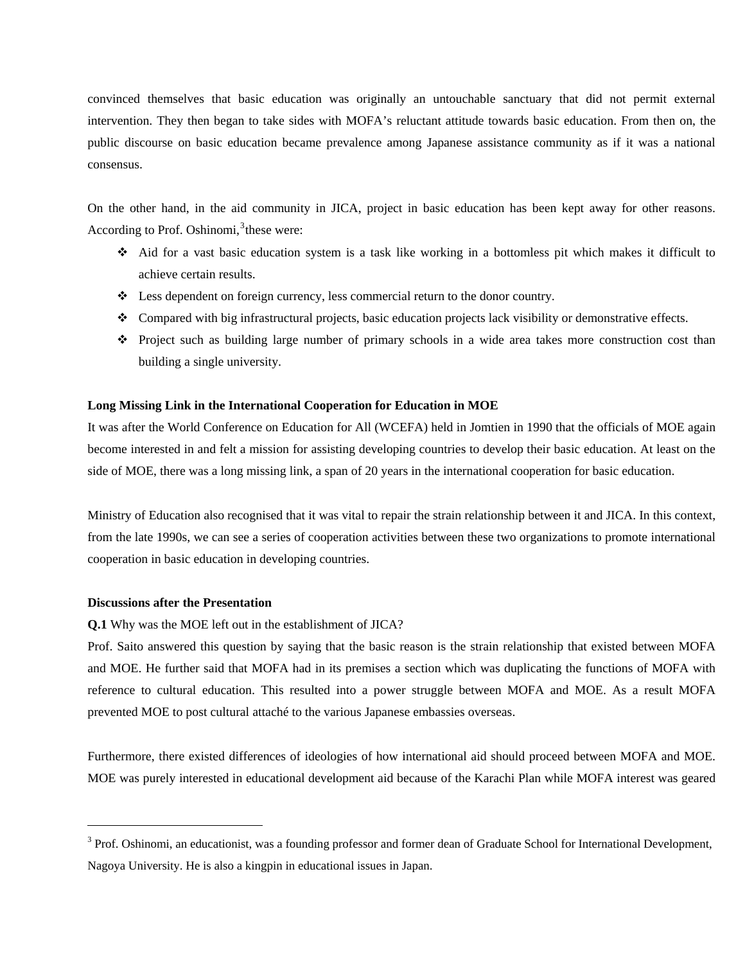convinced themselves that basic education was originally an untouchable sanctuary that did not permit external intervention. They then began to take sides with MOFA's reluctant attitude towards basic education. From then on, the public discourse on basic education became prevalence among Japanese assistance community as if it was a national consensus.

On the other hand, in the aid community in JICA, project in basic education has been kept away for other reasons. According to Prof. Oshinomi, $3$  these were:

- Aid for a vast basic education system is a task like working in a bottomless pit which makes it difficult to achieve certain results.
- Less dependent on foreign currency, less commercial return to the donor country.
- Compared with big infrastructural projects, basic education projects lack visibility or demonstrative effects.
- Project such as building large number of primary schools in a wide area takes more construction cost than building a single university.

# **Long Missing Link in the International Cooperation for Education in MOE**

It was after the World Conference on Education for All (WCEFA) held in Jomtien in 1990 that the officials of MOE again become interested in and felt a mission for assisting developing countries to develop their basic education. At least on the side of MOE, there was a long missing link, a span of 20 years in the international cooperation for basic education.

Ministry of Education also recognised that it was vital to repair the strain relationship between it and JICA. In this context, from the late 1990s, we can see a series of cooperation activities between these two organizations to promote international cooperation in basic education in developing countries.

# **Discussions after the Presentation**

 $\overline{a}$ 

**Q.1** Why was the MOE left out in the establishment of JICA?

Prof. Saito answered this question by saying that the basic reason is the strain relationship that existed between MOFA and MOE. He further said that MOFA had in its premises a section which was duplicating the functions of MOFA with reference to cultural education. This resulted into a power struggle between MOFA and MOE. As a result MOFA prevented MOE to post cultural attaché to the various Japanese embassies overseas.

Furthermore, there existed differences of ideologies of how international aid should proceed between MOFA and MOE. MOE was purely interested in educational development aid because of the Karachi Plan while MOFA interest was geared

<span id="page-6-0"></span><sup>&</sup>lt;sup>3</sup> Prof. Oshinomi, an educationist, was a founding professor and former dean of Graduate School for International Development, Nagoya University. He is also a kingpin in educational issues in Japan.